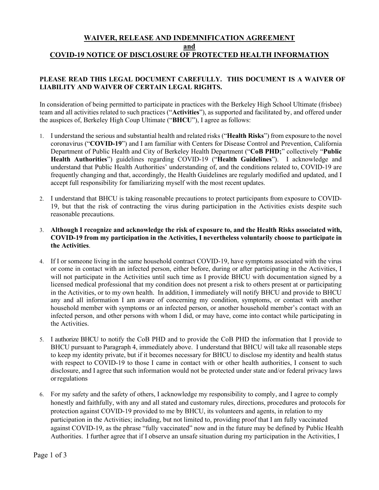## **WAIVER, RELEASE AND INDEMNIFICATION AGREEMENT and COVID-19 NOTICE OF DISCLOSURE OF PROTECTED HEALTH INFORMATION**

## **PLEASE READ THIS LEGAL DOCUMENT CAREFULLY. THIS DOCUMENT IS A WAIVER OF LIABILITY AND WAIVER OF CERTAIN LEGAL RIGHTS.**

In consideration of being permitted to participate in practices with the Berkeley High School Ultimate (frisbee) team and all activities related to such practices ("**Activities**"), as supported and facilitated by, and offered under the auspices of, Berkeley High Coup Ultimate ("**BHCU**"), I agree as follows:

- 1. I understand the serious and substantial health and related risks ("**Health Risks**") from exposure to the novel coronavirus ("**COVID-19**") and I am familiar with Centers for Disease Control and Prevention, California Department of Public Health and City of Berkeley Health Department ("**CoB PHD;**" collectively "**Public Health Authorities**") guidelines regarding COVID-19 ("**Health Guidelines**"). I acknowledge and understand that Public Health Authorities' understanding of, and the conditions related to, COVID-19 are frequently changing and that, accordingly, the Health Guidelines are regularly modified and updated, and I accept full responsibility for familiarizing myself with the most recent updates.
- 2. I understand that BHCU is taking reasonable precautions to protect participants from exposure to COVID-19, but that the risk of contracting the virus during participation in the Activities exists despite such reasonable precautions.

## 3. **Although I recognize and acknowledge the risk of exposure to, and the Health Risks associated with, COVID-19 from my participation in the Activities, I nevertheless voluntarily choose to participate in the Activities**.

- 4. If I or someone living in the same household contract COVID-19, have symptoms associated with the virus or come in contact with an infected person, either before, during or after participating in the Activities, I will not participate in the Activities until such time as I provide BHCU with documentation signed by a licensed medical professional that my condition does not present a risk to others present at or participating in the Activities, or to my own health. In addition, I immediately will notify BHCU and provide to BHCU any and all information I am aware of concerning my condition, symptoms, or contact with another household member with symptoms or an infected person, or another household member's contact with an infected person, and other persons with whom I did, or may have, come into contact while participating in the Activities.
- 5. I authorize BHCU to notify the CoB PHD and to provide the CoB PHD the information that I provide to BHCU pursuant to Paragraph 4, immediately above. I understand that BHCU will take all reasonable steps to keep my identity private, but if it becomes necessary for BHCU to disclose my identity and health status with respect to COVID-19 to those I came in contact with or other health authorities, I consent to such disclosure, and I agree that such information would not be protected under state and/or federal privacy laws orregulations
- 6. For my safety and the safety of others, I acknowledge my responsibility to comply, and I agree to comply honestly and faithfully, with any and all stated and customary rules, directions, procedures and protocols for protection against COVID-19 provided to me by BHCU, its volunteers and agents, in relation to my participation in the Activities; including, but not limited to, providing proof that I am fully vaccinated against COVID-19, as the phrase "fully vaccinated" now and in the future may be defined by Public Health Authorities. I further agree that if I observe an unsafe situation during my participation in the Activities, I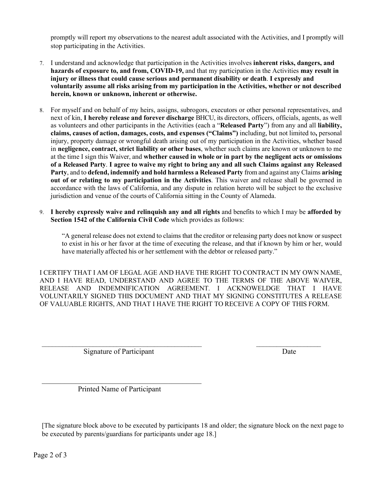promptly will report my observations to the nearest adult associated with the Activities, and I promptly will stop participating in the Activities.

- 7. I understand and acknowledge that participation in the Activities involves **inherent risks, dangers, and hazards of exposure to, and from, COVID-19,** and that my participation in the Activities **may result in injury or illness that could cause serious and permanent disability or death**. **I expressly and voluntarily assume all risks arising from my participation in the Activities, whether or not described herein, known or unknown, inherent or otherwise.**
- 8. For myself and on behalf of my heirs, assigns, subrogors, executors or other personal representatives, and next of kin, **I hereby release and forever discharge** BHCU, its directors, officers, officials, agents, as well as volunteers and other participants in the Activities (each a "**Released Party**") from any and all **liability, claims, causes of action, damages, costs, and expenses ("Claims")** including, but not limited to**,** personal injury, property damage or wrongful death arising out of my participation in the Activities, whether based in **negligence, contract, strict liability or other bases**, whether such claims are known or unknown to me at the time I sign this Waiver, and **whether caused in whole or in part by the negligent acts or omissions of a Released Party**. **I agree to waive my right to bring any and all such Claims against any Released Party**, and to **defend, indemnify and hold harmless a Released Party** from and against any Claims **arising out of or relating to my participation in the Activities**. This waiver and release shall be governed in accordance with the laws of California, and any dispute in relation hereto will be subject to the exclusive jurisdiction and venue of the courts of California sitting in the County of Alameda.
- 9. **I hereby expressly waive and relinquish any and all rights** and benefits to which I may be **afforded by Section 1542 of the California Civil Code** which provides as follows:

"A general release does not extend to claims that the creditor or releasing party does not know orsuspect to exist in his or her favor at the time of executing the release, and that if known by him or her, would have materially affected his or her settlement with the debtor or released party."

I CERTIFY THAT I AM OF LEGAL AGE AND HAVE THE RIGHT TO CONTRACT IN MY OWN NAME, AND I HAVE READ, UNDERSTAND AND AGREE TO THE TERMS OF THE ABOVE WAIVER, RELEASE AND INDEMNIFICATION AGREEMENT. I ACKNOWELDGE THAT I HAVE VOLUNTARILY SIGNED THIS DOCUMENT AND THAT MY SIGNING CONSTITUTES A RELEASE OF VALUABLE RIGHTS, AND THAT I HAVE THE RIGHT TO RECEIVE A COPY OF THIS FORM.

 $\_$  , and the contribution of the contribution of  $\mathcal{L}_\mathcal{A}$  , and the contribution of  $\mathcal{L}_\mathcal{A}$ 

Signature of Participant Date

Printed Name of Participant

<sup>[</sup>The signature block above to be executed by participants 18 and older; the signature block on the next page to be executed by parents/guardians for participants under age 18.]